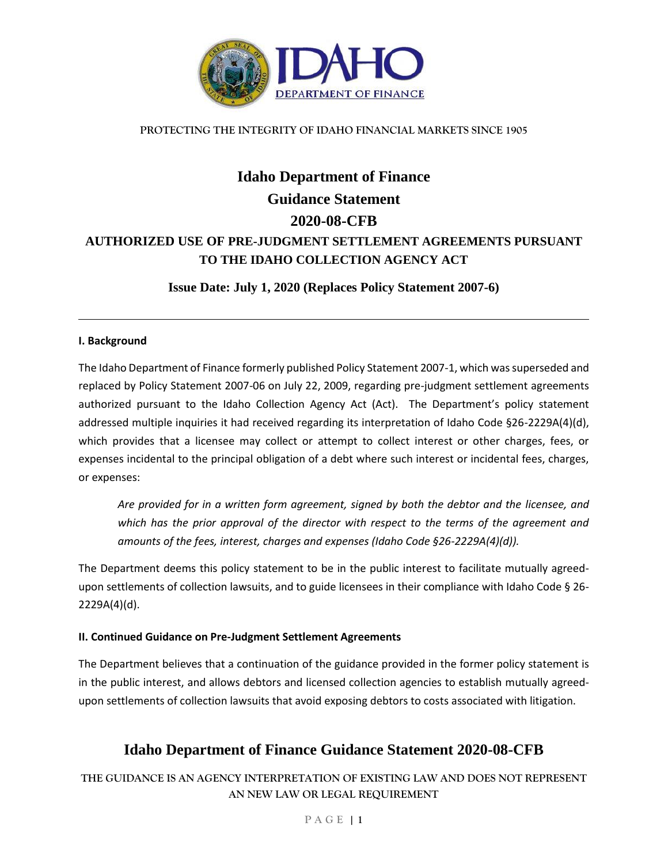

### **PROTECTING THE INTEGRITY OF IDAHO FINANCIAL MARKETS SINCE 1905**

# **Idaho Department of Finance Guidance Statement 2020-08-CFB AUTHORIZED USE OF PRE-JUDGMENT SETTLEMENT AGREEMENTS PURSUANT TO THE IDAHO COLLECTION AGENCY ACT**

**Issue Date: July 1, 2020 (Replaces Policy Statement 2007-6)**

### **I. Background**

The Idaho Department of Finance formerly published Policy Statement 2007-1, which was superseded and replaced by Policy Statement 2007-06 on July 22, 2009, regarding pre-judgment settlement agreements authorized pursuant to the Idaho Collection Agency Act (Act). The Department's policy statement addressed multiple inquiries it had received regarding its interpretation of Idaho Code §26-2229A(4)(d), which provides that a licensee may collect or attempt to collect interest or other charges, fees, or expenses incidental to the principal obligation of a debt where such interest or incidental fees, charges, or expenses:

*Are provided for in a written form agreement, signed by both the debtor and the licensee, and which has the prior approval of the director with respect to the terms of the agreement and amounts of the fees, interest, charges and expenses (Idaho Code §26-2229A(4)(d)).*

The Department deems this policy statement to be in the public interest to facilitate mutually agreedupon settlements of collection lawsuits, and to guide licensees in their compliance with Idaho Code § 26- 2229A(4)(d).

### **II. Continued Guidance on Pre-Judgment Settlement Agreements**

The Department believes that a continuation of the guidance provided in the former policy statement is in the public interest, and allows debtors and licensed collection agencies to establish mutually agreedupon settlements of collection lawsuits that avoid exposing debtors to costs associated with litigation.

## **Idaho Department of Finance Guidance Statement 2020-08-CFB**

**THE GUIDANCE IS AN AGENCY INTERPRETATION OF EXISTING LAW AND DOES NOT REPRESENT AN NEW LAW OR LEGAL REQUIREMENT**